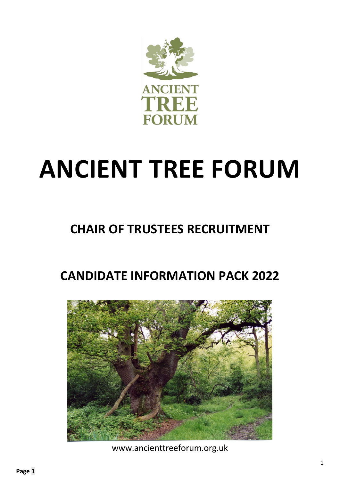

# **ANCIENT TREE FORUM**

# **CHAIR OF TRUSTEES RECRUITMENT**

# **CANDIDATE INFORMATION PACK 2022**



www.ancienttreeforum.org.uk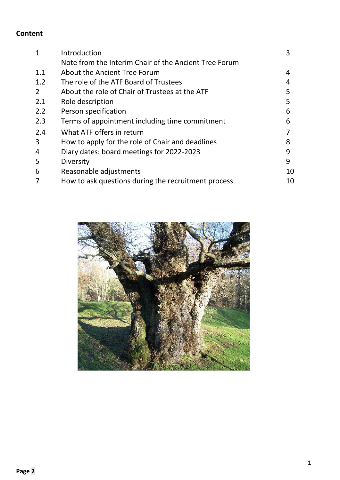# **Content**

|               | Introduction                                          | 3  |
|---------------|-------------------------------------------------------|----|
|               | Note from the Interim Chair of the Ancient Tree Forum |    |
| 1.1           | About the Ancient Tree Forum                          | 4  |
| 1.2           | The role of the ATF Board of Trustees                 | 4  |
| $\mathcal{L}$ | About the role of Chair of Trustees at the ATF        | 5  |
| 2.1           | Role description                                      | 5  |
| 2.2           | Person specification                                  | 6  |
| 2.3           | Terms of appointment including time commitment        | 6  |
| 2.4           | What ATF offers in return                             |    |
| 3             | How to apply for the role of Chair and deadlines      | 8  |
| 4             | Diary dates: board meetings for 2022-2023             | 9  |
| 5             | Diversity                                             | 9  |
| 6             | Reasonable adjustments                                | 10 |
|               | How to ask questions during the recruitment process   | 10 |

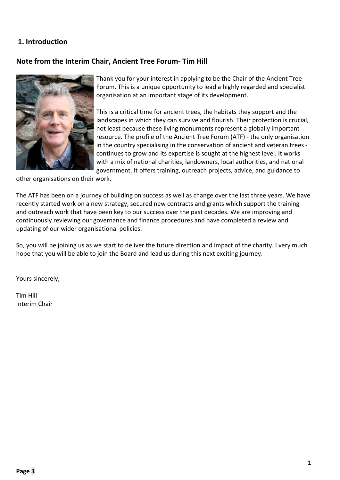#### **1. Introduction**

#### **Note from the Interim Chair, Ancient Tree Forum- Tim Hill**



Thank you for your interest in applying to be the Chair of the Ancient Tree Forum. This is a unique opportunity to lead a highly regarded and specialist organisation at an important stage of its development.

This is a critical time for ancient trees, the habitats they support and the landscapes in which they can survive and flourish. Their protection is crucial, not least because these living monuments represent a globally important resource. The profile of the Ancient Tree Forum (ATF) - the only organisation in the country specialising in the conservation of ancient and veteran trees continues to grow and its expertise is sought at the highest level. It works with a mix of national charities, landowners, local authorities, and national government. It offers training, outreach projects, advice, and guidance to

other organisations on their work.

The ATF has been on a journey of building on success as well as change over the last three years. We have recently started work on a new strategy, secured new contracts and grants which support the training and outreach work that have been key to our success over the past decades. We are improving and continuously reviewing our governance and finance procedures and have completed a review and updating of our wider organisational policies.

So, you will be joining us as we start to deliver the future direction and impact of the charity. I very much hope that you will be able to join the Board and lead us during this next exciting journey.

Yours sincerely,

Tim Hill Interim Chair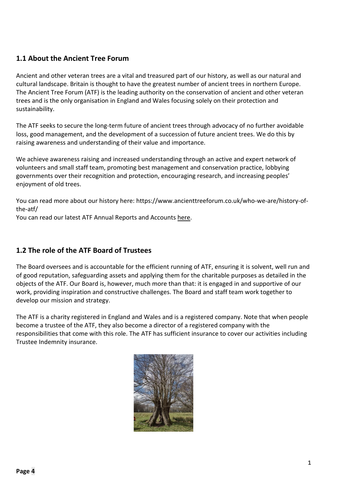# **1.1 About the Ancient Tree Forum**

Ancient and other veteran trees are a vital and treasured part of our history, as well as our natural and cultural landscape. Britain is thought to have the greatest number of ancient trees in northern Europe. The Ancient Tree Forum (ATF) is the leading authority on the conservation of ancient and other veteran trees and is the only organisation in England and Wales focusing solely on their protection and sustainability.

The ATF seeks to secure the long-term future of ancient trees through advocacy of no further avoidable loss, good management, and the development of a succession of future ancient trees. We do this by raising awareness and understanding of their value and importance.

We achieve awareness raising and increased understanding through an active and expert network of volunteers and small staff team, promoting best management and conservation practice, lobbying governments over their recognition and protection, encouraging research, and increasing peoples' enjoyment of old trees.

You can read more about our history here: [https://www.ancienttreeforum.co.uk/who-we-are/history-of](https://www.ancienttreeforum.co.uk/who-we-are/history-of-the-atf/)[the-atf/](https://www.ancienttreeforum.co.uk/who-we-are/history-of-the-atf/)

You can read our latest ATF Annual Reports and Accounts [here.](https://register-of-charities.charitycommission.gov.uk/charity-search?p_p_id=uk_gov_ccew_onereg_charitydetails_web_portlet_CharityDetailsPortlet&p_p_lifecycle=0&p_p_state=maximized&p_p_mode=view&_uk_gov_ccew_onereg_charitydetails_web_portlet_CharityDetailsPortlet_LIFERAY_SHARED_backToSearch=https%25253A%25252F%25252Fregister-of-charities.charitycommission.gov.uk%25252Fcharity-search%25253Fp_p_id%25253Duk_gov_ccew_portlet_CharitySearchPortlet%252526p_p_lifecycle%25253D1%252526p_p_state%25253Dnormal%252526p_p_mode%25253Dview%252526_uk_gov_ccew_portlet_CharitySearchPortlet_cur%25253D1%252526_uk_gov_ccew_portlet_CharitySearchPortlet_delta%25253D20%252526_uk_gov_ccew_portlet_CharitySearchPortlet_keywords%25253Dancient%25252Btree%25252Bforum%252526_uk_gov_ccew_portlet_CharitySearchPortlet_orderByCol%25253D%252526_uk_gov_ccew_portlet_CharitySearchPortlet_orderByType%25253Dasc%252526_uk_gov_ccew_portlet_CharitySearchPortlet_priv_r_p_prevCol%25253D%252526_uk_gov_ccew_portlet_CharitySearchPortlet_priv_r_p_useSession%25253Dtrue%252526_uk_gov_ccew_portlet_CharitySearchPortlet_priv_r_p_mvcRenderCommandName%25253D%2525252Fsearch-results&_uk_gov_ccew_onereg_charitydetails_web_portlet_CharityDetailsPortlet_organisationNumber=3953453)

# **1.2 The role of the ATF Board of Trustees**

The Board oversees and is accountable for the efficient running of ATF, ensuring it is solvent, well run and of good reputation, safeguarding assets and applying them for the charitable purposes as detailed in the objects of the ATF. Our Board is, however, much more than that: it is engaged in and supportive of our work, providing inspiration and constructive challenges. The Board and staff team work together to develop our mission and strategy.

The ATF is a charity registered in England and Wales and is a registered company. Note that when people become a trustee of the ATF, they also become a director of a registered company with the responsibilities that come with this role. The ATF has sufficient insurance to cover our activities including Trustee Indemnity insurance.

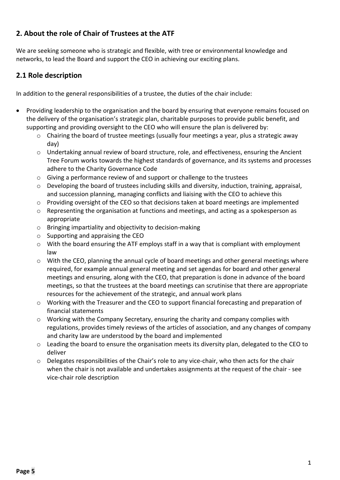# **2. About the role of Chair of Trustees at the ATF**

We are seeking someone who is strategic and flexible, with tree or environmental knowledge and networks, to lead the Board and support the CEO in achieving our exciting plans.

#### **2.1 Role description**

In addition to the general responsibilities of a trustee, the duties of the chair include:

- Providing leadership to the organisation and the board by ensuring that everyone remains focused on the delivery of the organisation's strategic plan, charitable purposes to provide public benefit, and supporting and providing oversight to the CEO who will ensure the plan is delivered by:
	- o Chairing the board of trustee meetings (usually four meetings a year, plus a strategic away day)
	- o Undertaking annual review of board structure, role, and effectiveness, ensuring the Ancient Tree Forum works towards the highest standards of governance, and its systems and processes adhere to the Charity Governance Code
	- o Giving a performance review of and support or challenge to the trustees
	- o Developing the board of trustees including skills and diversity, induction, training, appraisal, and succession planning, managing conflicts and liaising with the CEO to achieve this
	- $\circ$  Providing oversight of the CEO so that decisions taken at board meetings are implemented
	- $\circ$  Representing the organisation at functions and meetings, and acting as a spokesperson as appropriate
	- o Bringing impartiality and objectivity to decision-making
	- $\circ$  Supporting and appraising the CEO
	- $\circ$  With the board ensuring the ATF employs staff in a way that is compliant with employment law
	- o With the CEO, planning the annual cycle of board meetings and other general meetings where required, for example annual general meeting and set agendas for board and other general meetings and ensuring, along with the CEO, that preparation is done in advance of the board meetings, so that the trustees at the board meetings can scrutinise that there are appropriate resources for the achievement of the strategic, and annual work plans
	- o Working with the Treasurer and the CEO to support financial forecasting and preparation of financial statements
	- o Working with the Company Secretary, ensuring the charity and company complies with regulations, provides timely reviews of the articles of association, and any changes of company and charity law are understood by the board and implemented
	- o Leading the board to ensure the organisation meets its diversity plan, delegated to the CEO to deliver
	- $\circ$  Delegates responsibilities of the Chair's role to any vice-chair, who then acts for the chair when the chair is not available and undertakes assignments at the request of the chair - see vice-chair role description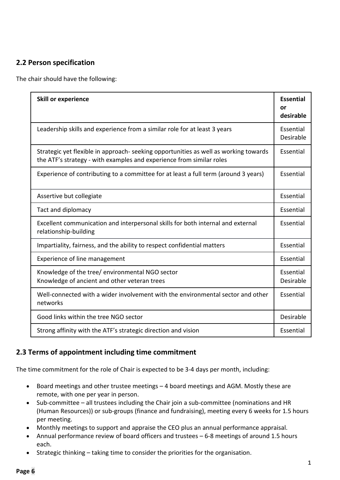# **2.2 Person specification**

The chair should have the following:

| <b>Skill or experience</b>                                                                                                                                   | <b>Essential</b><br>or<br>desirable |
|--------------------------------------------------------------------------------------------------------------------------------------------------------------|-------------------------------------|
| Leadership skills and experience from a similar role for at least 3 years                                                                                    | Essential<br>Desirable              |
| Strategic yet flexible in approach- seeking opportunities as well as working towards<br>the ATF's strategy - with examples and experience from similar roles | Essential                           |
| Experience of contributing to a committee for at least a full term (around 3 years)                                                                          | Essential                           |
| Assertive but collegiate                                                                                                                                     | Essential                           |
| Tact and diplomacy                                                                                                                                           | Essential                           |
| Excellent communication and interpersonal skills for both internal and external<br>relationship-building                                                     | Essential                           |
| Impartiality, fairness, and the ability to respect confidential matters                                                                                      | Essential                           |
| Experience of line management                                                                                                                                | Essential                           |
| Knowledge of the tree/ environmental NGO sector<br>Knowledge of ancient and other veteran trees                                                              | Essential<br>Desirable              |
| Well-connected with a wider involvement with the environmental sector and other<br>networks                                                                  | Essential                           |
| Good links within the tree NGO sector                                                                                                                        |                                     |
| Strong affinity with the ATF's strategic direction and vision                                                                                                |                                     |

#### **2.3 Terms of appointment including time commitment**

The time commitment for the role of Chair is expected to be 3-4 days per month, including:

- Board meetings and other trustee meetings 4 board meetings and AGM. Mostly these are remote, with one per year in person.
- Sub-committee all trustees including the Chair join a sub-committee (nominations and HR (Human Resources)) or sub-groups (finance and fundraising), meeting every 6 weeks for 1.5 hours per meeting.
- Monthly meetings to support and appraise the CEO plus an annual performance appraisal.
- Annual performance review of board officers and trustees 6-8 meetings of around 1.5 hours each.
- Strategic thinking taking time to consider the priorities for the organisation.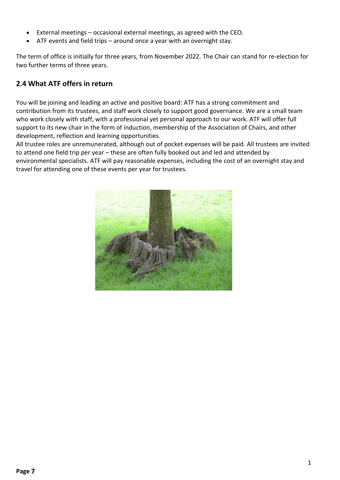- External meetings occasional external meetings, as agreed with the CEO.
- ATF events and field trips around once a year with an overnight stay.

The term of office is initially for three years, from November 2022. The Chair can stand for re-election for two further terms of three years.

#### **2.4 What ATF offers in return**

You will be joining and leading an active and positive board: ATF has a strong commitment and contribution from its trustees, and staff work closely to support good governance. We are a small team who work closely with staff, with a professional yet personal approach to our work. ATF will offer full support to its new chair in the form of induction, membership of the Association of Chairs, and other development, reflection and learning opportunities.

All trustee roles are unremunerated, although out of pocket expenses will be paid. All trustees are invited to attend one field trip per year – these are often fully booked out and led and attended by environmental specialists. ATF will pay reasonable expenses, including the cost of an overnight stay and travel for attending one of these events per year for trustees.

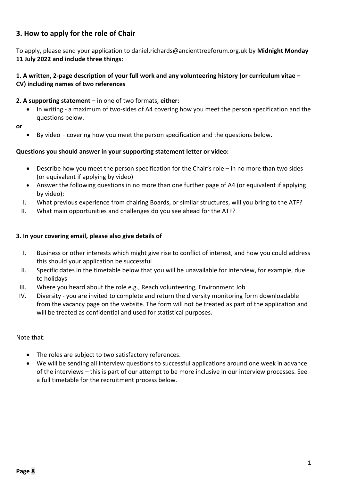# **3. How to apply for the role of Chair**

To apply, please send your application to [daniel.richards@ancienttreeforum.org.uk](mailto:daniel.richards@ancienttreeforum.org.uk) by **Midnight Monday 11 July 2022 and include three things:**

#### **1. A written, 2-page description of your full work and any volunteering history (or curriculum vitae – CV) including names of two references**

#### **2. A supporting statement** – in one of two formats, **either**:

- In writing a maximum of two-sides of A4 covering how you meet the person specification and the questions below.
- **or**
- By video covering how you meet the person specification and the questions below.

#### **Questions you should answer in your supporting statement letter or video:**

- Describe how you meet the person specification for the Chair's role in no more than two sides (or equivalent if applying by video)
- Answer the following questions in no more than one further page of A4 (or equivalent if applying by video):
- I. What previous experience from chairing Boards, or similar structures, will you bring to the ATF?
- II. What main opportunities and challenges do you see ahead for the ATF?

#### **3. In your covering email, please also give details of**

- I. Business or other interests which might give rise to conflict of interest, and how you could address this should your application be successful
- II. Specific dates in the timetable below that you will be unavailable for interview, for example, due to holidays
- III. Where you heard about the role e.g., Reach volunteering, Environment Job
- IV. Diversity you are invited to complete and return the diversity monitoring form downloadable from the vacancy page on the website. The form will not be treated as part of the application and will be treated as confidential and used for statistical purposes.

#### Note that:

- The roles are subject to two satisfactory references.
- We will be sending all interview questions to successful applications around one week in advance of the interviews – this is part of our attempt to be more inclusive in our interview processes. See a full timetable for the recruitment process below.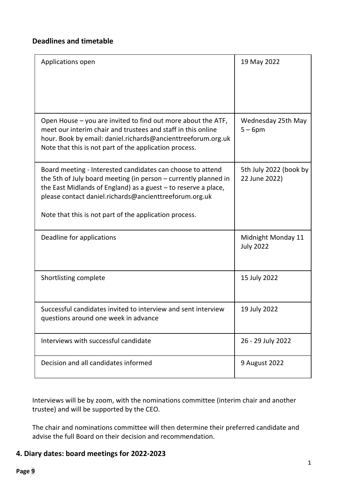#### **Deadlines and timetable**

| Applications open                                                                                                                                                                                                                                           | 19 May 2022                             |
|-------------------------------------------------------------------------------------------------------------------------------------------------------------------------------------------------------------------------------------------------------------|-----------------------------------------|
|                                                                                                                                                                                                                                                             |                                         |
| Open House - you are invited to find out more about the ATF,<br>meet our interim chair and trustees and staff in this online<br>hour. Book by email: daniel.richards@ancienttreeforum.org.uk<br>Note that this is not part of the application process.      | Wednesday 25th May<br>$5-6$ pm          |
| Board meeting - Interested candidates can choose to attend<br>the 5th of July board meeting (in person - currently planned in<br>the East Midlands of England) as a guest $-$ to reserve a place,<br>please contact daniel.richards@ancienttreeforum.org.uk | 5th July 2022 (book by<br>22 June 2022) |
| Note that this is not part of the application process.                                                                                                                                                                                                      |                                         |
| Deadline for applications                                                                                                                                                                                                                                   | Midnight Monday 11<br><b>July 2022</b>  |
| Shortlisting complete                                                                                                                                                                                                                                       | 15 July 2022                            |
| Successful candidates invited to interview and sent interview<br>questions around one week in advance                                                                                                                                                       | 19 July 2022                            |
| Interviews with successful candidate                                                                                                                                                                                                                        | 26 - 29 July 2022                       |
| Decision and all candidates informed                                                                                                                                                                                                                        | 9 August 2022                           |

Interviews will be by zoom, with the nominations committee (interim chair and another trustee) and will be supported by the CEO.

The chair and nominations committee will then determine their preferred candidate and advise the full Board on their decision and recommendation.

# **4. Diary dates: board meetings for 2022-2023**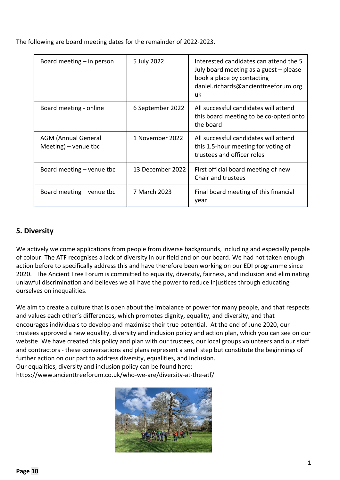The following are board meeting dates for the remainder of 2022-2023.

| Board meeting $-$ in person                        | 5 July 2022      | Interested candidates can attend the 5<br>July board meeting as a guest – please<br>book a place by contacting<br>daniel.richards@ancienttreeforum.org.<br>uk |
|----------------------------------------------------|------------------|---------------------------------------------------------------------------------------------------------------------------------------------------------------|
| Board meeting - online                             | 6 September 2022 | All successful candidates will attend<br>this board meeting to be co-opted onto<br>the board                                                                  |
| <b>AGM (Annual General</b><br>Meeting) – venue tbc | 1 November 2022  | All successful candidates will attend<br>this 1.5-hour meeting for voting of<br>trustees and officer roles                                                    |
| Board meeting $-$ venue tbc                        | 13 December 2022 | First official board meeting of new<br>Chair and trustees                                                                                                     |
| Board meeting $-$ venue tbc                        | 7 March 2023     | Final board meeting of this financial<br>year                                                                                                                 |

# **5. Diversity**

We actively welcome applications from people from diverse backgrounds, including and especially people of colour. The ATF recognises a lack of diversity in our field and on our board. We had not taken enough action before to specifically address this and have therefore been working on our EDI programme since 2020. The Ancient Tree Forum is committed to equality, diversity, fairness, and inclusion and eliminating unlawful discrimination and believes we all have the power to reduce injustices through educating ourselves on inequalities.

We aim to create a culture that is open about the imbalance of power for many people, and that respects and values each other's differences, which promotes dignity, equality, and diversity, and that encourages individuals to develop and maximise their true potential. At the end of June 2020, our trustees approved a new equality, diversity and inclusion policy and action plan, [which](https://www.ancienttreeforum.co.uk/who-we-are/diversity-at-the-atf/) you can see on our [website.](https://www.ancienttreeforum.co.uk/who-we-are/diversity-at-the-atf/) We have created this policy and plan with our trustees, our local groups volunteers and our staff and contractors - these conversations and plans represent a small step but constitute the beginnings of further action on our part to address diversity, equalities, and inclusion.

Our equalities, diversity and inclusion policy can be found here:

<https://www.ancienttreeforum.co.uk/who-we-are/diversity-at-the-atf/>